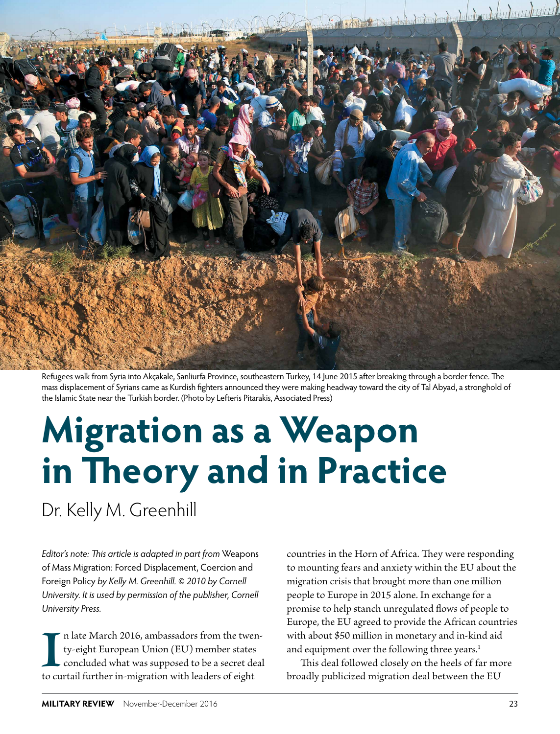

Refugees walk from Syria into Akçakale, Sanliurfa Province, southeastern Turkey, 14 June 2015 after breaking through a border fence. The mass displacement of Syrians came as Kurdish fighters announced they were making headway toward the city of Tal Abyad, a stronghold of the Islamic State near the Turkish border. (Photo by Lefteris Pitarakis, Associated Press)

# **Migration as a Weapon in Theory and in Practice**

Dr. Kelly M. Greenhill

*Editor's note: This article is adapted in part from* Weapons of Mass Migration: Forced Displacement, Coercion and Foreign Policy *by Kelly M. Greenhill. © 2010 by Cornell University. It is used by permission of the publisher, Cornell University Press.*

Illustration CD16, ambassadors from the twer<br>ty-eight European Union (EU) member states<br>concluded what was supposed to be a secret de<br>to curtail further in-migration with leaders of eight n late March 2016, ambassadors from the twenty-eight European Union (EU) member states concluded what was supposed to be a secret deal countries in the Horn of Africa. They were responding to mounting fears and anxiety within the EU about the migration crisis that brought more than one million people to Europe in 2015 alone. In exchange for a promise to help stanch unregulated flows of people to Europe, the EU agreed to provide the African countries with about \$50 million in monetary and in-kind aid and equipment over the following three years.<sup>1</sup>

This deal followed closely on the heels of far more broadly publicized migration deal between the EU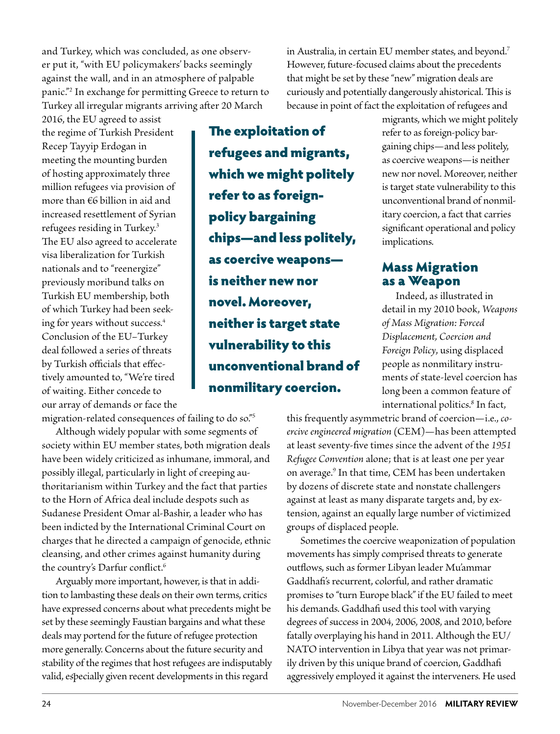and Turkey, which was concluded, as one observer put it, "with EU policymakers' backs seemingly against the wall, and in an atmosphere of palpable panic."2 In exchange for permitting Greece to return to Turkey all irregular migrants arriving after 20 March

2016, the EU agreed to assist the regime of Turkish President Recep Tayyip Erdogan in meeting the mounting burden of hosting approximately three million refugees via provision of more than €6 billion in aid and increased resettlement of Syrian refugees residing in Turkey.3 The EU also agreed to accelerate visa liberalization for Turkish nationals and to "reenergize" previously moribund talks on Turkish EU membership, both of which Turkey had been seeking for years without success.<sup>4</sup> Conclusion of the EU–Turkey deal followed a series of threats by Turkish officials that effectively amounted to, "We're tired of waiting. Either concede to our array of demands or face the

migration-related consequences of failing to do so."5

Although widely popular with some segments of society within EU member states, both migration deals have been widely criticized as inhumane, immoral, and possibly illegal, particularly in light of creeping authoritarianism within Turkey and the fact that parties to the Horn of Africa deal include despots such as Sudanese President Omar al-Bashir, a leader who has been indicted by the International Criminal Court on charges that he directed a campaign of genocide, ethnic cleansing, and other crimes against humanity during the country's Darfur conflict.<sup>6</sup>

Arguably more important, however, is that in addition to lambasting these deals on their own terms, critics have expressed concerns about what precedents might be set by these seemingly Faustian bargains and what these deals may portend for the future of refugee protection more generally. Concerns about the future security and stability of the regimes that host refugees are indisputably valid, especially given recent developments in this regard

The exploitation of refugees and migrants, which we might politely refer to as foreignpolicy bargaining chips—and less politely, as coercive weapons is neither new nor novel. Moreover, neither is target state vulnerability to this unconventional brand of nonmilitary coercion.

in Australia, in certain EU member states, and beyond.7 However, future-focused claims about the precedents that might be set by these "new" migration deals are curiously and potentially dangerously ahistorical. This is because in point of fact the exploitation of refugees and

migrants, which we might politely refer to as foreign-policy bargaining chips—and less politely, as coercive weapons—is neither new nor novel. Moreover, neither is target state vulnerability to this unconventional brand of nonmilitary coercion, a fact that carries significant operational and policy implications.

#### Mass Migration as a Weapon

Indeed, as illustrated in detail in my 2010 book, *Weapons of Mass Migration: Forced Displacement, Coercion and Foreign Policy*, using displaced people as nonmilitary instruments of state-level coercion has long been a common feature of international politics.8 In fact,

this frequently asymmetric brand of coercion—i.e., *coercive engineered migration* (CEM)—has been attempted at least seventy-five times since the advent of the *1951 Refugee Convention* alone; that is at least one per year on average.9 In that time, CEM has been undertaken by dozens of discrete state and nonstate challengers against at least as many disparate targets and, by extension, against an equally large number of victimized groups of displaced people.

Sometimes the coercive weaponization of population movements has simply comprised threats to generate outflows, such as former Libyan leader Mu'ammar Gaddhafi's recurrent, colorful, and rather dramatic promises to "turn Europe black" if the EU failed to meet his demands. Gaddhafi used this tool with varying degrees of success in 2004, 2006, 2008, and 2010, before fatally overplaying his hand in 2011. Although the EU/ NATO intervention in Libya that year was not primarily driven by this unique brand of coercion, Gaddhafi aggressively employed it against the interveners. He used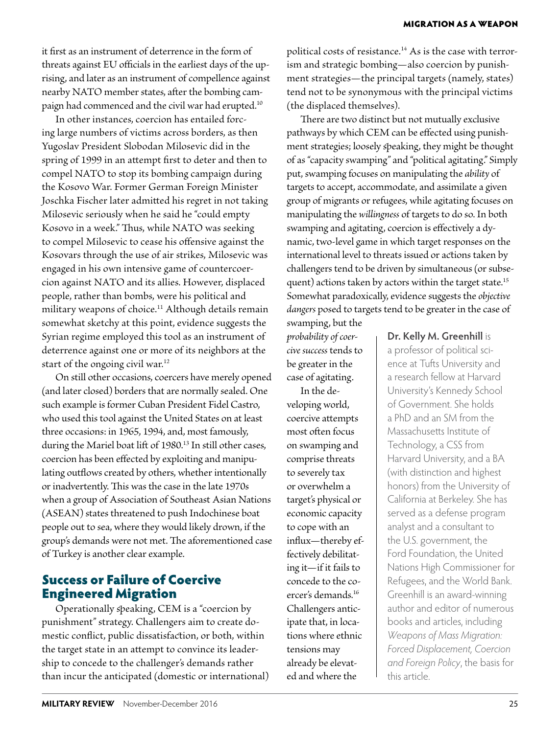it first as an instrument of deterrence in the form of threats against EU officials in the earliest days of the uprising, and later as an instrument of compellence against nearby NATO member states, after the bombing campaign had commenced and the civil war had erupted.10

In other instances, coercion has entailed forcing large numbers of victims across borders, as then Yugoslav President Slobodan Milosevic did in the spring of 1999 in an attempt first to deter and then to compel NATO to stop its bombing campaign during the Kosovo War. Former German Foreign Minister Joschka Fischer later admitted his regret in not taking Milosevic seriously when he said he "could empty Kosovo in a week." Thus, while NATO was seeking to compel Milosevic to cease his offensive against the Kosovars through the use of air strikes, Milosevic was engaged in his own intensive game of countercoercion against NATO and its allies. However, displaced people, rather than bombs, were his political and military weapons of choice.<sup>11</sup> Although details remain somewhat sketchy at this point, evidence suggests the Syrian regime employed this tool as an instrument of deterrence against one or more of its neighbors at the start of the ongoing civil war.12

On still other occasions, coercers have merely opened (and later closed) borders that are normally sealed. One such example is former Cuban President Fidel Castro, who used this tool against the United States on at least three occasions: in 1965, 1994, and, most famously, during the Mariel boat lift of 1980.<sup>13</sup> In still other cases, coercion has been effected by exploiting and manipulating outflows created by others, whether intentionally or inadvertently. This was the case in the late 1970s when a group of Association of Southeast Asian Nations (ASEAN) states threatened to push Indochinese boat people out to sea, where they would likely drown, if the group's demands were not met. The aforementioned case of Turkey is another clear example.

#### Success or Failure of Coercive Engineered Migration

Operationally speaking, CEM is a "coercion by punishment" strategy. Challengers aim to create domestic conflict, public dissatisfaction, or both, within the target state in an attempt to convince its leadership to concede to the challenger's demands rather than incur the anticipated (domestic or international) political costs of resistance.14 As is the case with terrorism and strategic bombing—also coercion by punishment strategies—the principal targets (namely, states) tend not to be synonymous with the principal victims (the displaced themselves).

There are two distinct but not mutually exclusive pathways by which CEM can be effected using punishment strategies; loosely speaking, they might be thought of as "capacity swamping" and "political agitating." Simply put, swamping focuses on manipulating the *ability* of targets to accept, accommodate, and assimilate a given group of migrants or refugees, while agitating focuses on manipulating the *willingness* of targets to do so. In both swamping and agitating, coercion is effectively a dynamic, two-level game in which target responses on the international level to threats issued or actions taken by challengers tend to be driven by simultaneous (or subsequent) actions taken by actors within the target state.<sup>15</sup> Somewhat paradoxically, evidence suggests the *objective dangers* posed to targets tend to be greater in the case of

swamping, but the *probability of coercive success* tends to be greater in the case of agitating.

In the developing world, coercive attempts most often focus on swamping and comprise threats to severely tax or overwhelm a target's physical or economic capacity to cope with an influx—thereby effectively debilitating it—if it fails to concede to the coercer's demands.16 Challengers anticipate that, in locations where ethnic tensions may already be elevated and where the

**Dr. Kelly M. Greenhill** is

a professor of political science at Tufts University and a research fellow at Harvard University's Kennedy School of Government. She holds a PhD and an SM from the Massachusetts Institute of Technology, a CSS from Harvard University, and a BA (with distinction and highest honors) from the University of California at Berkeley. She has served as a defense program analyst and a consultant to the U.S. government, the Ford Foundation, the United Nations High Commissioner for Refugees, and the World Bank. Greenhill is an award-winning author and editor of numerous books and articles, including *Weapons of Mass Migration: Forced Displacement, Coercion and Foreign Policy*, the basis for this article.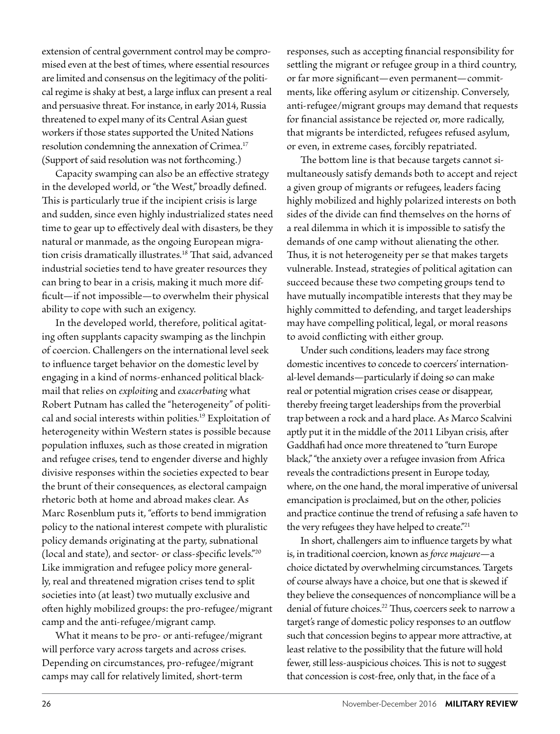extension of central government control may be compromised even at the best of times, where essential resources are limited and consensus on the legitimacy of the political regime is shaky at best, a large influx can present a real and persuasive threat. For instance, in early 2014, Russia threatened to expel many of its Central Asian guest workers if those states supported the United Nations resolution condemning the annexation of Crimea.<sup>17</sup> (Support of said resolution was not forthcoming.)

Capacity swamping can also be an effective strategy in the developed world, or "the West," broadly defined. This is particularly true if the incipient crisis is large and sudden, since even highly industrialized states need time to gear up to effectively deal with disasters, be they natural or manmade, as the ongoing European migration crisis dramatically illustrates.18 That said, advanced industrial societies tend to have greater resources they can bring to bear in a crisis, making it much more difficult—if not impossible—to overwhelm their physical ability to cope with such an exigency.

In the developed world, therefore, political agitating often supplants capacity swamping as the linchpin of coercion. Challengers on the international level seek to influence target behavior on the domestic level by engaging in a kind of norms-enhanced political blackmail that relies on *exploitin*g and *exacerbating* what Robert Putnam has called the "heterogeneity" of political and social interests within polities.19 Exploitation of heterogeneity within Western states is possible because population influxes, such as those created in migration and refugee crises, tend to engender diverse and highly divisive responses within the societies expected to bear the brunt of their consequences, as electoral campaign rhetoric both at home and abroad makes clear. As Marc Rosenblum puts it, "efforts to bend immigration policy to the national interest compete with pluralistic policy demands originating at the party, subnational (local and state), and sector- or class-specific levels."20 Like immigration and refugee policy more generally, real and threatened migration crises tend to split societies into (at least) two mutually exclusive and often highly mobilized groups: the pro-refugee/migrant camp and the anti-refugee/migrant camp.

What it means to be pro- or anti-refugee/migrant will perforce vary across targets and across crises. Depending on circumstances, pro-refugee/migrant camps may call for relatively limited, short-term

responses, such as accepting financial responsibility for settling the migrant or refugee group in a third country, or far more significant—even permanent—commitments, like offering asylum or citizenship. Conversely, anti-refugee/migrant groups may demand that requests for financial assistance be rejected or, more radically, that migrants be interdicted, refugees refused asylum, or even, in extreme cases, forcibly repatriated.

The bottom line is that because targets cannot simultaneously satisfy demands both to accept and reject a given group of migrants or refugees, leaders facing highly mobilized and highly polarized interests on both sides of the divide can find themselves on the horns of a real dilemma in which it is impossible to satisfy the demands of one camp without alienating the other. Thus, it is not heterogeneity per se that makes targets vulnerable. Instead, strategies of political agitation can succeed because these two competing groups tend to have mutually incompatible interests that they may be highly committed to defending, and target leaderships may have compelling political, legal, or moral reasons to avoid conflicting with either group.

Under such conditions, leaders may face strong domestic incentives to concede to coercers' international-level demands—particularly if doing so can make real or potential migration crises cease or disappear, thereby freeing target leaderships from the proverbial trap between a rock and a hard place. As Marco Scalvini aptly put it in the middle of the 2011 Libyan crisis, after Gaddhafi had once more threatened to "turn Europe black," "the anxiety over a refugee invasion from Africa reveals the contradictions present in Europe today, where, on the one hand, the moral imperative of universal emancipation is proclaimed, but on the other, policies and practice continue the trend of refusing a safe haven to the very refugees they have helped to create."<sup>21</sup>

In short, challengers aim to influence targets by what is, in traditional coercion, known as *force majeure*—a choice dictated by overwhelming circumstances. Targets of course always have a choice, but one that is skewed if they believe the consequences of noncompliance will be a denial of future choices.<sup>22</sup> Thus, coercers seek to narrow a target's range of domestic policy responses to an outflow such that concession begins to appear more attractive, at least relative to the possibility that the future will hold fewer, still less-auspicious choices. This is not to suggest that concession is cost-free, only that, in the face of a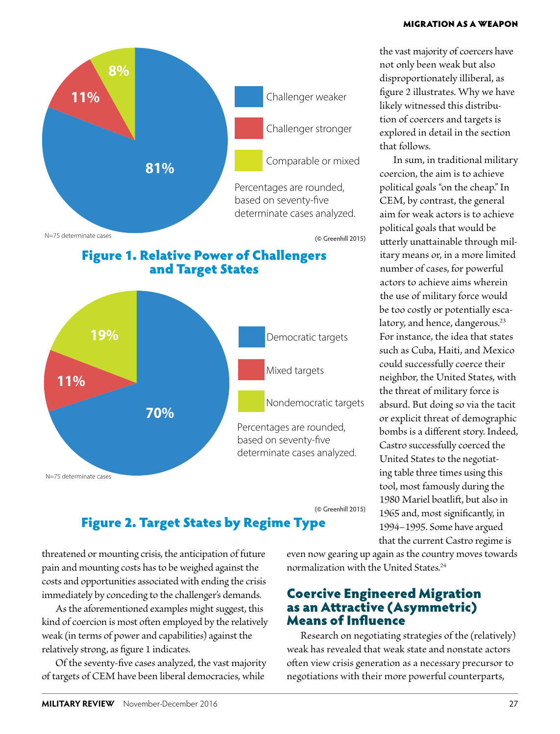#### MIGRATION AS A WEAPON





the vast majority of coercers have not only been weak but also disproportionately illiberal, as figure 2 illustrates. Why we have likely witnessed this distribution of coercers and targets is explored in detail in the section that follows.

In sum, in traditional military coercion, the aim is to achieve political goals "on the cheap." In CEM, by contrast, the general aim for weak actors is to achieve political goals that would be utterly unattainable through military means or, in a more limited number of cases, for powerful actors to achieve aims wherein the use of military force would be too costly or potentially escalatory, and hence, dangerous.<sup>23</sup> For instance, the idea that states such as Cuba, Haiti, and Mexico could successfully coerce their neighbor, the United States, with the threat of military force is absurd. But doing so via the tacit or explicit threat of demographic bombs is a different story. Indeed, Castro successfully coerced the United States to the negotiating table three times using this tool, most famously during the 1980 Mariel boatlift, but also in 1965 and, most significantly, in 1994–1995. Some have argued that the current Castro regime is

## Figure 2. Target States by Regime Type

threatened or mounting crisis, the anticipation of future pain and mounting costs has to be weighed against the costs and opportunities associated with ending the crisis immediately by conceding to the challenger's demands.

As the aforementioned examples might suggest, this kind of coercion is most often employed by the relatively weak (in terms of power and capabilities) against the relatively strong, as figure 1 indicates.

Of the seventy-five cases analyzed, the vast majority of targets of CEM have been liberal democracies, while

even now gearing up again as the country moves towards normalization with the United States.24

#### Coercive Engineered Migration as an Attractive (Asymmetric) Means of Influence

Research on negotiating strategies of the (relatively) weak has revealed that weak state and nonstate actors often view crisis generation as a necessary precursor to negotiations with their more powerful counterparts,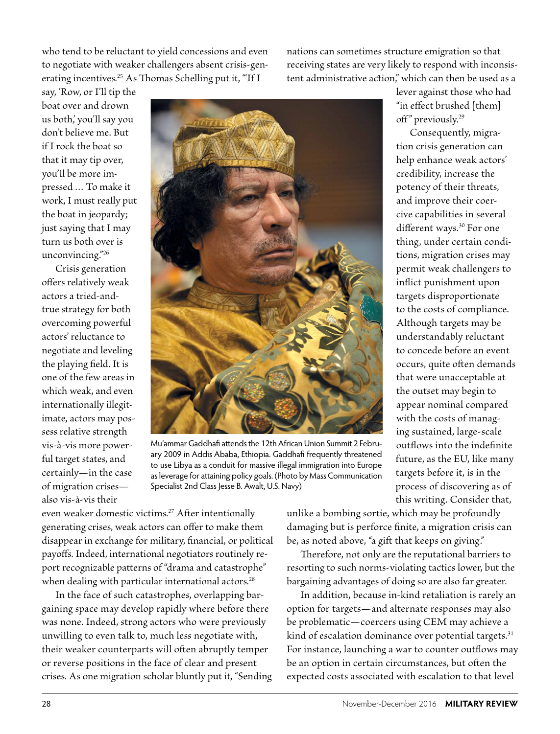who tend to be reluctant to yield concessions and even to negotiate with weaker challengers absent crisis-generating incentives.<sup>25</sup> As Thomas Schelling put it, "If I

nations can sometimes structure emigration so that receiving states are very likely to respond with inconsistent administrative action," which can then be used as a

say, 'Row, or I'll tip the boat over and drown us both,' you'll say you don't believe me. But if I rock the boat so that it may tip over, you'll be more impressed … To make it work, I must really put the boat in jeopardy; just saying that I may turn us both over is unconvincing."26

Crisis generation offers relatively weak actors a tried-andtrue strategy for both overcoming powerful actors' reluctance to negotiate and leveling the playing field. It is one of the few areas in which weak, and even internationally illegitimate, actors may possess relative strength vis-à-vis more powerful target states, and certainly—in the case of migration crises also vis-à-vis their



Mu'ammar Gaddhafi attends the 12th African Union Summit 2 February 2009 in Addis Ababa, Ethiopia. Gaddhafi frequently threatened to use Libya as a conduit for massive illegal immigration into Europe as leverage for attaining policy goals. (Photo by Mass Communication Specialist 2nd Class Jesse B. Awalt, U.S. Navy)

lever against those who had "in effect brushed [them] off" previously.<sup>29</sup>

Consequently, migration crisis generation can help enhance weak actors' credibility, increase the potency of their threats, and improve their coercive capabilities in several different ways.<sup>30</sup> For one thing, under certain conditions, migration crises may permit weak challengers to inflict punishment upon targets disproportionate to the costs of compliance. Although targets may be understandably reluctant to concede before an event occurs, quite often demands that were unacceptable at the outset may begin to appear nominal compared with the costs of managing sustained, large-scale outflows into the indefinite future, as the EU, like many targets before it, is in the process of discovering as of this writing. Consider that,

even weaker domestic victims.27 After intentionally generating crises, weak actors can offer to make them disappear in exchange for military, financial, or political payoffs. Indeed, international negotiators routinely report recognizable patterns of "drama and catastrophe" when dealing with particular international actors.<sup>28</sup>

In the face of such catastrophes, overlapping bargaining space may develop rapidly where before there was none. Indeed, strong actors who were previously unwilling to even talk to, much less negotiate with, their weaker counterparts will often abruptly temper or reverse positions in the face of clear and present crises. As one migration scholar bluntly put it, "Sending unlike a bombing sortie, which may be profoundly damaging but is perforce finite, a migration crisis can be, as noted above, "a gift that keeps on giving."

Therefore, not only are the reputational barriers to resorting to such norms-violating tactics lower, but the bargaining advantages of doing so are also far greater.

In addition, because in-kind retaliation is rarely an option for targets—and alternate responses may also be problematic—coercers using CEM may achieve a kind of escalation dominance over potential targets.<sup>31</sup> For instance, launching a war to counter outflows may be an option in certain circumstances, but often the expected costs associated with escalation to that level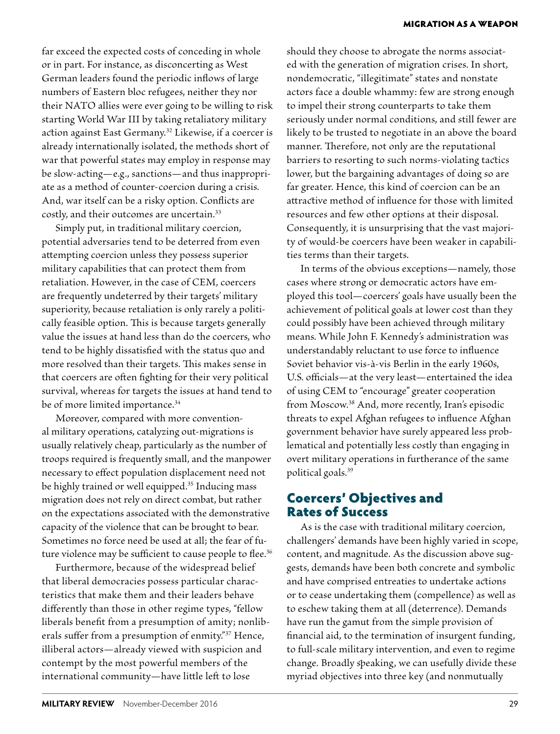far exceed the expected costs of conceding in whole or in part. For instance, as disconcerting as West German leaders found the periodic inflows of large numbers of Eastern bloc refugees, neither they nor their NATO allies were ever going to be willing to risk starting World War III by taking retaliatory military action against East Germany.32 Likewise, if a coercer is already internationally isolated, the methods short of war that powerful states may employ in response may be slow-acting—e.g., sanctions—and thus inappropriate as a method of counter-coercion during a crisis. And, war itself can be a risky option. Conflicts are costly, and their outcomes are uncertain.33

Simply put, in traditional military coercion, potential adversaries tend to be deterred from even attempting coercion unless they possess superior military capabilities that can protect them from retaliation. However, in the case of CEM, coercers are frequently undeterred by their targets' military superiority, because retaliation is only rarely a politically feasible option. This is because targets generally value the issues at hand less than do the coercers, who tend to be highly dissatisfied with the status quo and more resolved than their targets. This makes sense in that coercers are often fighting for their very political survival, whereas for targets the issues at hand tend to be of more limited importance.<sup>34</sup>

Moreover, compared with more conventional military operations, catalyzing out-migrations is usually relatively cheap, particularly as the number of troops required is frequently small, and the manpower necessary to effect population displacement need not be highly trained or well equipped.<sup>35</sup> Inducing mass migration does not rely on direct combat, but rather on the expectations associated with the demonstrative capacity of the violence that can be brought to bear. Sometimes no force need be used at all; the fear of future violence may be sufficient to cause people to flee.<sup>36</sup>

Furthermore, because of the widespread belief that liberal democracies possess particular characteristics that make them and their leaders behave differently than those in other regime types, "fellow liberals benefit from a presumption of amity; nonliberals suffer from a presumption of enmity."37 Hence, illiberal actors—already viewed with suspicion and contempt by the most powerful members of the international community—have little left to lose

should they choose to abrogate the norms associated with the generation of migration crises. In short, nondemocratic, "illegitimate" states and nonstate actors face a double whammy: few are strong enough to impel their strong counterparts to take them seriously under normal conditions, and still fewer are likely to be trusted to negotiate in an above the board manner. Therefore, not only are the reputational barriers to resorting to such norms-violating tactics lower, but the bargaining advantages of doing so are far greater. Hence, this kind of coercion can be an attractive method of influence for those with limited resources and few other options at their disposal. Consequently, it is unsurprising that the vast majority of would-be coercers have been weaker in capabilities terms than their targets.

In terms of the obvious exceptions—namely, those cases where strong or democratic actors have employed this tool—coercers' goals have usually been the achievement of political goals at lower cost than they could possibly have been achieved through military means. While John F. Kennedy's administration was understandably reluctant to use force to influence Soviet behavior vis-à-vis Berlin in the early 1960s, U.S. officials—at the very least—entertained the idea of using CEM to "encourage" greater cooperation from Moscow.38 And, more recently, Iran's episodic threats to expel Afghan refugees to influence Afghan government behavior have surely appeared less problematical and potentially less costly than engaging in overt military operations in furtherance of the same political goals.39

#### Coercers' Objectives and Rates of Success

As is the case with traditional military coercion, challengers' demands have been highly varied in scope, content, and magnitude. As the discussion above suggests, demands have been both concrete and symbolic and have comprised entreaties to undertake actions or to cease undertaking them (compellence) as well as to eschew taking them at all (deterrence). Demands have run the gamut from the simple provision of financial aid, to the termination of insurgent funding, to full-scale military intervention, and even to regime change. Broadly speaking, we can usefully divide these myriad objectives into three key (and nonmutually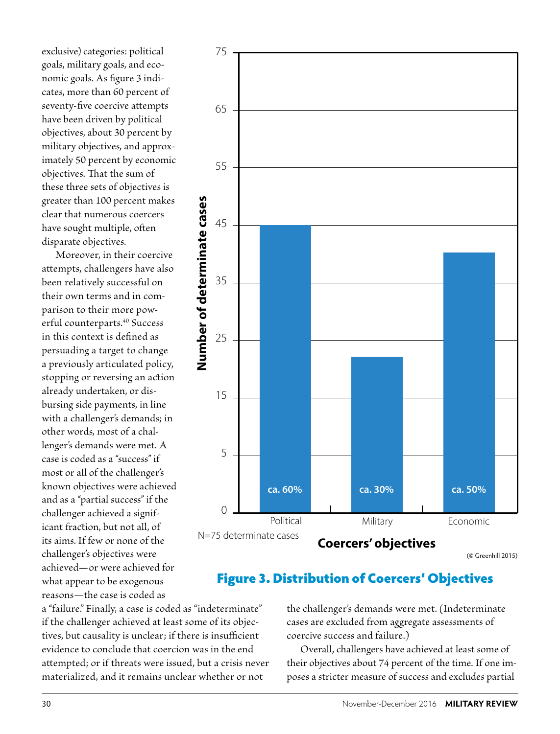exclusive) categories: political goals, military goals, and economic goals. As figure 3 indicates, more than 60 percent of seventy-five coercive attempts have been driven by political objectives, about 30 percent by military objectives, and approximately 50 percent by economic objectives. That the sum of these three sets of objectives is greater than 100 percent makes clear that numerous coercers have sought multiple, often disparate objectives.

Moreover, in their coercive attempts, challengers have also been relatively successful on their own terms and in comparison to their more powerful counterparts.<sup>40</sup> Success in this context is defined as persuading a target to change a previously articulated policy, stopping or reversing an action already undertaken, or disbursing side payments, in line with a challenger's demands; in other words, most of a challenger's demands were met. A case is coded as a "success" if most or all of the challenger's known objectives were achieved and as a "partial success" if the challenger achieved a significant fraction, but not all, of its aims. If few or none of the challenger's objectives were achieved—or were achieved for what appear to be exogenous reasons—the case is coded as



(© Greenhill 2015)

## Figure 3. Distribution of Coercers' Objectives

a "failure." Finally, a case is coded as "indeterminate" if the challenger achieved at least some of its objectives, but causality is unclear; if there is insufficient evidence to conclude that coercion was in the end attempted; or if threats were issued, but a crisis never materialized, and it remains unclear whether or not

the challenger's demands were met. (Indeterminate cases are excluded from aggregate assessments of coercive success and failure.)

Overall, challengers have achieved at least some of their objectives about 74 percent of the time. If one imposes a stricter measure of success and excludes partial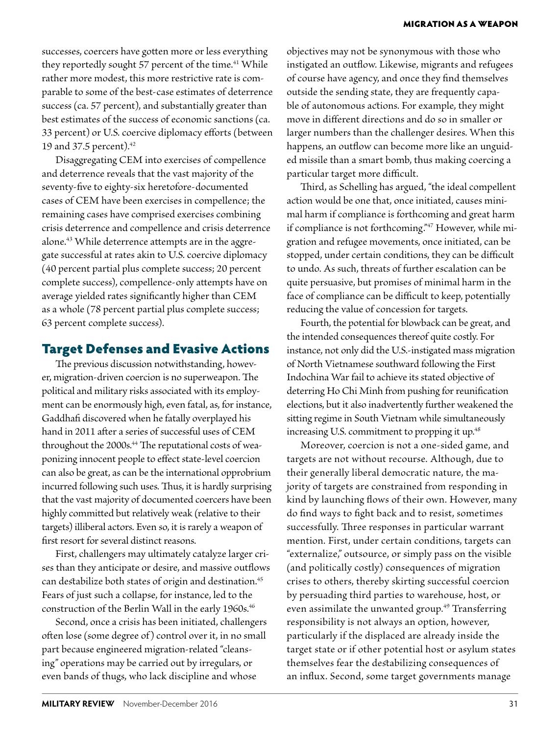successes, coercers have gotten more or less everything they reportedly sought 57 percent of the time.<sup>41</sup> While rather more modest, this more restrictive rate is comparable to some of the best-case estimates of deterrence success (ca. 57 percent), and substantially greater than best estimates of the success of economic sanctions (ca. 33 percent) or U.S. coercive diplomacy efforts (between 19 and 37.5 percent).42

Disaggregating CEM into exercises of compellence and deterrence reveals that the vast majority of the seventy-five to eighty-six heretofore-documented cases of CEM have been exercises in compellence; the remaining cases have comprised exercises combining crisis deterrence and compellence and crisis deterrence alone.43 While deterrence attempts are in the aggregate successful at rates akin to U.S. coercive diplomacy (40 percent partial plus complete success; 20 percent complete success), compellence-only attempts have on average yielded rates significantly higher than CEM as a whole (78 percent partial plus complete success; 63 percent complete success).

#### Target Defenses and Evasive Actions

The previous discussion notwithstanding, however, migration-driven coercion is no superweapon. The political and military risks associated with its employment can be enormously high, even fatal, as, for instance, Gaddhafi discovered when he fatally overplayed his hand in 2011 after a series of successful uses of CEM throughout the 2000s.<sup>44</sup> The reputational costs of weaponizing innocent people to effect state-level coercion can also be great, as can be the international opprobrium incurred following such uses. Thus, it is hardly surprising that the vast majority of documented coercers have been highly committed but relatively weak (relative to their targets) illiberal actors. Even so, it is rarely a weapon of first resort for several distinct reasons.

First, challengers may ultimately catalyze larger crises than they anticipate or desire, and massive outflows can destabilize both states of origin and destination.<sup>45</sup> Fears of just such a collapse, for instance, led to the construction of the Berlin Wall in the early 1960s.<sup>46</sup>

Second, once a crisis has been initiated, challengers often lose (some degree of) control over it, in no small part because engineered migration-related "cleansing" operations may be carried out by irregulars, or even bands of thugs, who lack discipline and whose

objectives may not be synonymous with those who instigated an outflow. Likewise, migrants and refugees of course have agency, and once they find themselves outside the sending state, they are frequently capable of autonomous actions. For example, they might move in different directions and do so in smaller or larger numbers than the challenger desires. When this happens, an outflow can become more like an unguided missile than a smart bomb, thus making coercing a particular target more difficult.

Third, as Schelling has argued, "the ideal compellent action would be one that, once initiated, causes minimal harm if compliance is forthcoming and great harm if compliance is not forthcoming."<sup>47</sup> However, while migration and refugee movements, once initiated, can be stopped, under certain conditions, they can be difficult to undo. As such, threats of further escalation can be quite persuasive, but promises of minimal harm in the face of compliance can be difficult to keep, potentially reducing the value of concession for targets.

Fourth, the potential for blowback can be great, and the intended consequences thereof quite costly. For instance, not only did the U.S.-instigated mass migration of North Vietnamese southward following the First Indochina War fail to achieve its stated objective of deterring Ho Chi Minh from pushing for reunification elections, but it also inadvertently further weakened the sitting regime in South Vietnam while simultaneously increasing U.S. commitment to propping it up.<sup>48</sup>

Moreover, coercion is not a one-sided game, and targets are not without recourse. Although, due to their generally liberal democratic nature, the majority of targets are constrained from responding in kind by launching flows of their own. However, many do find ways to fight back and to resist, sometimes successfully. Three responses in particular warrant mention. First, under certain conditions, targets can "externalize," outsource, or simply pass on the visible (and politically costly) consequences of migration crises to others, thereby skirting successful coercion by persuading third parties to warehouse, host, or even assimilate the unwanted group.<sup>49</sup> Transferring responsibility is not always an option, however, particularly if the displaced are already inside the target state or if other potential host or asylum states themselves fear the destabilizing consequences of an influx. Second, some target governments manage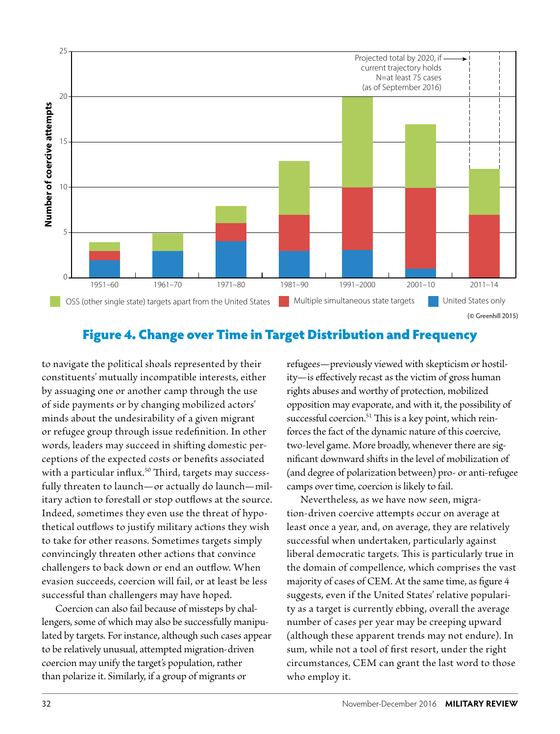

## Figure 4. Change over Time in Target Distribution and Frequency

to navigate the political shoals represented by their constituents' mutually incompatible interests, either by assuaging one or another camp through the use of side payments or by changing mobilized actors' minds about the undesirability of a given migrant or refugee group through issue redefinition. In other words, leaders may succeed in shifting domestic perceptions of the expected costs or benefits associated with a particular influx.<sup>50</sup> Third, targets may successfully threaten to launch—or actually do launch—military action to forestall or stop outflows at the source. Indeed, sometimes they even use the threat of hypothetical outflows to justify military actions they wish to take for other reasons. Sometimes targets simply convincingly threaten other actions that convince challengers to back down or end an outflow. When evasion succeeds, coercion will fail, or at least be less successful than challengers may have hoped.

Coercion can also fail because of missteps by challengers, some of which may also be successfully manipulated by targets. For instance, although such cases appear to be relatively unusual, attempted migration-driven coercion may unify the target's population, rather than polarize it. Similarly, if a group of migrants or

refugees—previously viewed with skepticism or hostility—is effectively recast as the victim of gross human rights abuses and worthy of protection, mobilized opposition may evaporate, and with it, the possibility of successful coercion.<sup>51</sup> This is a key point, which reinforces the fact of the dynamic nature of this coercive, two-level game. More broadly, whenever there are significant downward shifts in the level of mobilization of (and degree of polarization between) pro- or anti-refugee camps over time, coercion is likely to fail.

Nevertheless, as we have now seen, migration-driven coercive attempts occur on average at least once a year, and, on average, they are relatively successful when undertaken, particularly against liberal democratic targets. This is particularly true in the domain of compellence, which comprises the vast majority of cases of CEM. At the same time, as figure 4 suggests, even if the United States' relative popularity as a target is currently ebbing, overall the average number of cases per year may be creeping upward (although these apparent trends may not endure). In sum, while not a tool of first resort, under the right circumstances, CEM can grant the last word to those who employ it.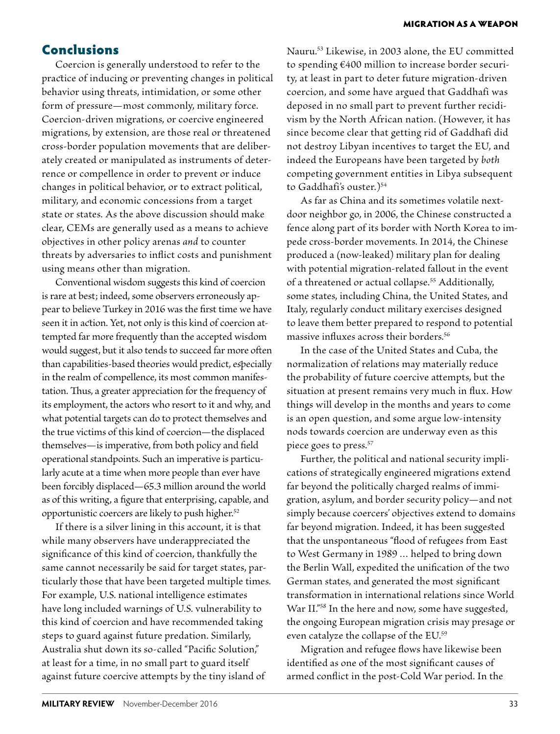#### Conclusions

Coercion is generally understood to refer to the practice of inducing or preventing changes in political behavior using threats, intimidation, or some other form of pressure—most commonly, military force. Coercion-driven migrations, or coercive engineered migrations, by extension, are those real or threatened cross-border population movements that are deliberately created or manipulated as instruments of deterrence or compellence in order to prevent or induce changes in political behavior, or to extract political, military, and economic concessions from a target state or states. As the above discussion should make clear, CEMs are generally used as a means to achieve objectives in other policy arenas *and* to counter threats by adversaries to inflict costs and punishment using means other than migration.

Conventional wisdom suggests this kind of coercion is rare at best; indeed, some observers erroneously appear to believe Turkey in 2016 was the first time we have seen it in action. Yet, not only is this kind of coercion attempted far more frequently than the accepted wisdom would suggest, but it also tends to succeed far more often than capabilities-based theories would predict, especially in the realm of compellence, its most common manifestation. Thus, a greater appreciation for the frequency of its employment, the actors who resort to it and why, and what potential targets can do to protect themselves and the true victims of this kind of coercion—the displaced themselves—is imperative, from both policy and field operational standpoints. Such an imperative is particularly acute at a time when more people than ever have been forcibly displaced—65.3 million around the world as of this writing, a figure that enterprising, capable, and opportunistic coercers are likely to push higher.<sup>52</sup>

If there is a silver lining in this account, it is that while many observers have underappreciated the significance of this kind of coercion, thankfully the same cannot necessarily be said for target states, particularly those that have been targeted multiple times. For example, U.S. national intelligence estimates have long included warnings of U.S. vulnerability to this kind of coercion and have recommended taking steps to guard against future predation. Similarly, Australia shut down its so-called "Pacific Solution," at least for a time, in no small part to guard itself against future coercive attempts by the tiny island of

Nauru.53 Likewise, in 2003 alone, the EU committed to spending €400 million to increase border security, at least in part to deter future migration-driven coercion, and some have argued that Gaddhafi was deposed in no small part to prevent further recidivism by the North African nation. (However, it has since become clear that getting rid of Gaddhafi did not destroy Libyan incentives to target the EU, and indeed the Europeans have been targeted by *both*  competing government entities in Libya subsequent to Gaddhafi's ouster.)54

As far as China and its sometimes volatile nextdoor neighbor go, in 2006, the Chinese constructed a fence along part of its border with North Korea to impede cross-border movements. In 2014, the Chinese produced a (now-leaked) military plan for dealing with potential migration-related fallout in the event of a threatened or actual collapse.<sup>55</sup> Additionally, some states, including China, the United States, and Italy, regularly conduct military exercises designed to leave them better prepared to respond to potential massive influxes across their borders.<sup>56</sup>

In the case of the United States and Cuba, the normalization of relations may materially reduce the probability of future coercive attempts, but the situation at present remains very much in flux. How things will develop in the months and years to come is an open question, and some argue low-intensity nods towards coercion are underway even as this piece goes to press.57

Further, the political and national security implications of strategically engineered migrations extend far beyond the politically charged realms of immigration, asylum, and border security policy—and not simply because coercers' objectives extend to domains far beyond migration. Indeed, it has been suggested that the unspontaneous "flood of refugees from East to West Germany in 1989 … helped to bring down the Berlin Wall, expedited the unification of the two German states, and generated the most significant transformation in international relations since World War II."<sup>58</sup> In the here and now, some have suggested, the ongoing European migration crisis may presage or even catalyze the collapse of the EU.59

Migration and refugee flows have likewise been identified as one of the most significant causes of armed conflict in the post-Cold War period. In the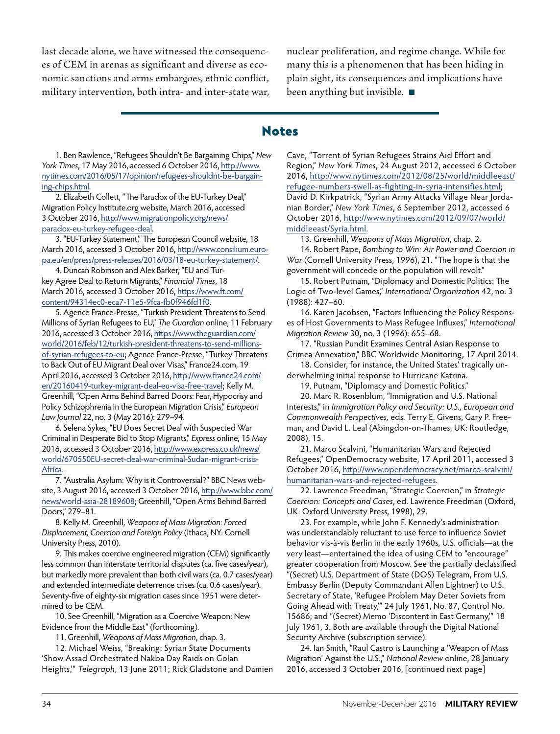last decade alone, we have witnessed the consequences of CEM in arenas as significant and diverse as economic sanctions and arms embargoes, ethnic conflict, military intervention, both intra- and inter-state war, nuclear proliferation, and regime change. While for many this is a phenomenon that has been hiding in plain sight, its consequences and implications have been anything but invisible.

#### Notes

1. Ben Rawlence, "Refugees Shouldn't Be Bargaining Chips," *New York Times*, 17 May 2016, accessed 6 October 2016, http://www. nytimes.com/2016/05/17/opinion/refugees-shouldnt-be-bargaining-chips.html.

2. Elizabeth Collett, "The Paradox of the EU-Turkey Deal," Migration Policy Institute.org website, March 2016, accessed 3 October 2016, http://www.migrationpolicy.org/news/ paradox-eu-turkey-refugee-deal.

3. "EU-Turkey Statement," The European Council website, 18 March 2016, accessed 3 October 2016, http://www.consilium.europa.eu/en/press/press-releases/2016/03/18-eu-turkey-statement/.

4. Duncan Robinson and Alex Barker, "EU and Turkey Agree Deal to Return Migrants," *Financial Times*, 18 March 2016, accessed 3 October 2016, https://www.ft.com/ content/94314ec0-eca7-11e5-9fca-fb0f946fd1f0.

5. Agence France-Presse, "Turkish President Threatens to Send Millions of Syrian Refugees to EU," *The Guardian* online, 11 February 2016, accessed 3 October 2016, https://www.theguardian.com/ world/2016/feb/12/turkish-president-threatens-to-send-millionsof-syrian-refugees-to-eu; Agence France-Presse, "Turkey Threatens to Back Out of EU Migrant Deal over Visas," France24.com, 19 April 2016, accessed 3 October 2016, http://www.france24.com/ en/20160419-turkey-migrant-deal-eu-visa-free-travel; Kelly M. Greenhill, "Open Arms Behind Barred Doors: Fear, Hypocrisy and Policy Schizophrenia in the European Migration Crisis," *European Law Journal* 22, no. 3 (May 2016): 279–94.

6. Selena Sykes, "EU Does Secret Deal with Suspected War Criminal in Desperate Bid to Stop Migrants," *Express* online*,* 15 May 2016, accessed 3 October 2016, http://www.express.co.uk/news/ world/670550EU-secret-deal-war-criminal-Sudan-migrant-crisis-Africa.

7. "Australia Asylum: Why is it Controversial?" BBC News website, 3 August 2016, accessed 3 October 2016, http://www.bbc.com/ news/world-asia-28189608; Greenhill, "Open Arms Behind Barred Doors," 279–81.

8. Kelly M. Greenhill, *Weapons of Mass Migration: Forced Displacement, Coercion and Foreign Policy* (Ithaca, NY: Cornell University Press, 2010).

9. This makes coercive engineered migration (CEM) significantly less common than interstate territorial disputes (ca. five cases/year), but markedly more prevalent than both civil wars (ca. 0.7 cases/year) and extended intermediate deterrence crises (ca. 0.6 cases/year). Seventy-five of eighty-six migration cases since 1951 were determined to be CEM.

10. See Greenhill, "Migration as a Coercive Weapon: New Evidence from the Middle East" (forthcoming).

11. Greenhill, *Weapons of Mass Migration*, chap. 3.

12. Michael Weiss, "Breaking: Syrian State Documents 'Show Assad Orchestrated Nakba Day Raids on Golan Heights,'" *Telegraph*, 13 June 2011; Rick Gladstone and Damien Cave, "Torrent of Syrian Refugees Strains Aid Effort and Region," *New York Times*, 24 August 2012, accessed 6 October 2016, http://www.nytimes.com/2012/08/25/world/middleeast/ refugee-numbers-swell-as-fighting-in-syria-intensifies.html; David D. Kirkpatrick, "Syrian Army Attacks Village Near Jordanian Border," *New York Times*, 6 September 2012, accessed 6 October 2016, http://www.nytimes.com/2012/09/07/world/ middleeast/Syria.html.

13. Greenhill, *Weapons of Mass Migration*, chap. 2.

14. Robert Pape, *Bombing to Win: Air Power and Coercion in War* (Cornell University Press, 1996), 21. "The hope is that the government will concede or the population will revolt."

15. Robert Putnam, "Diplomacy and Domestic Politics: The Logic of Two-level Games," *International Organization* 42, no. 3 (1988): 427–60.

16. Karen Jacobsen, "Factors Influencing the Policy Responses of Host Governments to Mass Refugee Influxes," *International Migration Review* 30, no. 3 (1996): 655–68.

17. "Russian Pundit Examines Central Asian Response to Crimea Annexation," BBC Worldwide Monitoring, 17 April 2014.

18. Consider, for instance, the United States' tragically underwhelming initial response to Hurricane Katrina.

19. Putnam, "Diplomacy and Domestic Politics."

20. Marc R. Rosenblum, "Immigration and U.S. National Interests," in *Immigration Policy and Security: U.S., European and Commonwealth Perspectives,* eds. Terry E. Givens, Gary P. Freeman, and David L. Leal (Abingdon-on-Thames, UK: Routledge, 2008), 15.

21. Marco Scalvini, "Humanitarian Wars and Rejected Refugees," OpenDemocracy website, 17 April 2011, accessed 3 October 2016, http://www.opendemocracy.net/marco-scalvini/ humanitarian-wars-and-rejected-refugees.

22. Lawrence Freedman, "Strategic Coercion," in *Strategic Coercion: Concepts and Cases*, ed. Lawrence Freedman (Oxford, UK: Oxford University Press, 1998), 29.

23. For example, while John F. Kennedy's administration was understandably reluctant to use force to influence Soviet behavior vis-à-vis Berlin in the early 1960s, U.S. officials—at the very least—entertained the idea of using CEM to "encourage" greater cooperation from Moscow. See the partially declassified "(Secret) U.S. Department of State (DOS) Telegram, From U.S. Embassy Berlin (Deputy Commandant Allen Lightner) to U.S. Secretary of State, 'Refugee Problem May Deter Soviets from Going Ahead with Treaty,'" 24 July 1961, No. 87, Control No. 15686; and "(Secret) Memo 'Discontent in East Germany,'" 18 July 1961, 3. Both are available through the Digital National Security Archive (subscription service).

24. Ian Smith, "Raul Castro is Launching a 'Weapon of Mass Migration' Against the U.S.," *National Review* online, 28 January 2016, accessed 3 October 2016, [continued next page]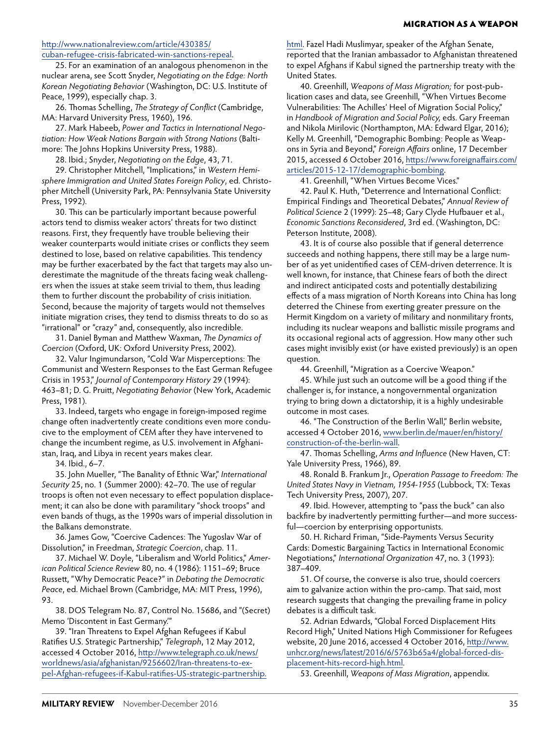#### MIGRATION AS A WEAPON

#### http://www.nationalreview.com/article/430385/ cuban-refugee-crisis-fabricated-win-sanctions-repeal.

25. For an examination of an analogous phenomenon in the nuclear arena, see Scott Snyder, *Negotiating on the Edge: North Korean Negotiating Behavior* (Washington, DC: U.S. Institute of Peace, 1999), especially chap. 3.

26. Thomas Schelling, *The Strategy of Conflict* (Cambridge, MA: Harvard University Press, 1960), 196.

27. Mark Habeeb, *Power and Tactics in International Negotiation: How Weak Nations Bargain with Strong Nations* (Baltimore: The Johns Hopkins University Press, 1988).

28. Ibid.; Snyder, *Negotiating on the Edge*, 43, 71.

29. Christopher Mitchell, "Implications," in *Western Hemisphere Immigration and United States Foreign Policy*, ed. Christopher Mitchell (University Park, PA: Pennsylvania State University Press, 1992).

30. This can be particularly important because powerful actors tend to dismiss weaker actors' threats for two distinct reasons. First, they frequently have trouble believing their weaker counterparts would initiate crises or conflicts they seem destined to lose, based on relative capabilities. This tendency may be further exacerbated by the fact that targets may also underestimate the magnitude of the threats facing weak challengers when the issues at stake seem trivial to them, thus leading them to further discount the probability of crisis initiation. Second, because the majority of targets would not themselves initiate migration crises, they tend to dismiss threats to do so as "irrational" or "crazy" and, consequently, also incredible.

31. Daniel Byman and Matthew Waxman, *The Dynamics of Coercion* (Oxford, UK: Oxford University Press, 2002).

32. Valur Ingimundarson, "Cold War Misperceptions: The Communist and Western Responses to the East German Refugee Crisis in 1953," *Journal of Contemporary History* 29 (1994): 463–81; D. G. Pruitt, *Negotiating Behavior* (New York, Academic Press, 1981).

33. Indeed, targets who engage in foreign-imposed regime change often inadvertently create conditions even more conducive to the employment of CEM after they have intervened to change the incumbent regime, as U.S. involvement in Afghanistan, Iraq, and Libya in recent years makes clear.

34. Ibid., 6–7.

35. John Mueller, "The Banality of Ethnic War," *International Security* 25, no. 1 (Summer 2000): 42–70. The use of regular troops is often not even necessary to effect population displacement; it can also be done with paramilitary "shock troops" and even bands of thugs, as the 1990s wars of imperial dissolution in the Balkans demonstrate.

36. James Gow, "Coercive Cadences: The Yugoslav War of Dissolution," in Freedman, *Strategic Coercion*, chap. 11.

37. Michael W. Doyle, "Liberalism and World Politics," *American Political Science Review* 80, no. 4 (1986): 1151–69; Bruce Russett, "Why Democratic Peace?" in *Debating the Democratic Peace*, ed. Michael Brown (Cambridge, MA: MIT Press, 1996), 93.

38. DOS Telegram No. 87, Control No. 15686, and "(Secret) Memo 'Discontent in East Germany.'"

39. "Iran Threatens to Expel Afghan Refugees if Kabul Ratifies U.S. Strategic Partnership," *Telegraph*, 12 May 2012, accessed 4 October 2016, http://www.telegraph.co.uk/news/ worldnews/asia/afghanistan/9256602/Iran-threatens-to-expel-Afghan-refugees-if-Kabul-ratifies-US-strategic-partnership. html. Fazel Hadi Muslimyar, speaker of the Afghan Senate, reported that the Iranian ambassador to Afghanistan threatened to expel Afghans if Kabul signed the partnership treaty with the United States.

40. Greenhill, *Weapons of Mass Migration;* for post-publication cases and data, see Greenhill, "When Virtues Become Vulnerabilities: The Achilles' Heel of Migration Social Policy," in *Handbook of Migration and Social Policy,* eds. Gary Freeman and Nikola Mirilovic (Northampton, MA: Edward Elgar, 2016); Kelly M. Greenhill, "Demographic Bombing: People as Weapons in Syria and Beyond," *Foreign Affairs* online, 17 December 2015, accessed 6 October 2016, https://www.foreignaffairs.com/ articles/2015-12-17/demographic-bombing.

41. Greenhill, "When Virtues Become Vices."

42. Paul K. Huth, "Deterrence and International Conflict: Empirical Findings and Theoretical Debates," *Annual Review of Political Science* 2 (1999): 25–48; Gary Clyde Hufbauer et al., *Economic Sanctions Reconsidered*, 3rd ed. (Washington, DC: Peterson Institute, 2008).

43. It is of course also possible that if general deterrence succeeds and nothing happens, there still may be a large number of as yet unidentified cases of CEM-driven deterrence. It is well known, for instance, that Chinese fears of both the direct and indirect anticipated costs and potentially destabilizing effects of a mass migration of North Koreans into China has long deterred the Chinese from exerting greater pressure on the Hermit Kingdom on a variety of military and nonmilitary fronts, including its nuclear weapons and ballistic missile programs and its occasional regional acts of aggression. How many other such cases might invisibly exist (or have existed previously) is an open question.

44. Greenhill, "Migration as a Coercive Weapon."

45. While just such an outcome will be a good thing if the challenger is, for instance, a nongovernmental organization trying to bring down a dictatorship, it is a highly undesirable outcome in most cases.

46. "The Construction of the Berlin Wall," Berlin website, accessed 4 October 2016, www.berlin.de/mauer/en/history/ construction-of-the-berlin-wall.

47. Thomas Schelling, *Arms and Influence* (New Haven, CT: Yale University Press, 1966), 89.

48. Ronald B. Frankum Jr., *Operation Passage to Freedom: The United States Navy in Vietnam, 1954-1955* (Lubbock, TX: Texas Tech University Press, 2007), 207.

49. Ibid. However, attempting to "pass the buck" can also backfire by inadvertently permitting further—and more successful—coercion by enterprising opportunists.

50. H. Richard Friman, "Side-Payments Versus Security Cards: Domestic Bargaining Tactics in International Economic Negotiations," *International Organization* 47, no. 3 (1993): 387–409.

51. Of course, the converse is also true, should coercers aim to galvanize action within the pro-camp. That said, most research suggests that changing the prevailing frame in policy debates is a difficult task.

52. Adrian Edwards, "Global Forced Displacement Hits Record High," United Nations High Commissioner for Refugees website, 20 June 2016, accessed 4 October 2016, http://www. unhcr.org/news/latest/2016/6/5763b65a4/global-forced-displacement-hits-record-high.html.

53. Greenhill, *Weapons of Mass Migration*, appendix.